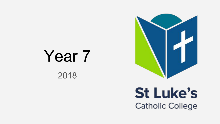## Year 7 2018



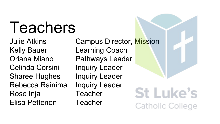# Teachers

Kelly Bauer Learning Coach Celinda Corsini Inquiry Leader Sharee Hughes Inquiry Leader Rebecca Rainima Inquiry Leader Rose Inja **Teacher** Elisa Pettenon Teacher

Julie Atkins Campus Director, Mission Oriana Miano Pathways Leader

**St Luke's Catholic College**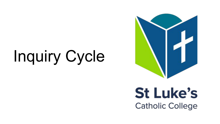# Inquiry Cycle



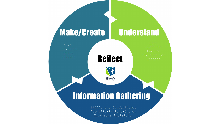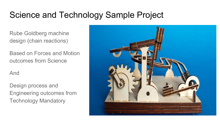### Science and Technology Sample Project

Rube Goldberg machine design (chain reactions)

Based on Forces and Motion outcomes from Science

And

Design process and Engineering outcomes from Technology Mandatory

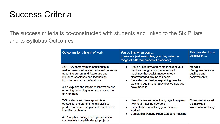### Success Criteria

The success criteria is co-constructed with students and linked to the Six Pillars and to Syllabus Outcomes

| Outcomes for this unit of work                                                                                                                                                                                                                                                                                | You do this when you<br>(these are just examples, you may select a<br>range of different pieces of evidence)                                                                                                                                                                              | This may also link to<br>the pillar of                               |
|---------------------------------------------------------------------------------------------------------------------------------------------------------------------------------------------------------------------------------------------------------------------------------------------------------------|-------------------------------------------------------------------------------------------------------------------------------------------------------------------------------------------------------------------------------------------------------------------------------------------|----------------------------------------------------------------------|
| SC4-3VA demonstrates confidence in<br>making reasoned, evidence-based decisions<br>about the current and future use and<br>influence of science and technology.<br>including ethical considerations<br>4.4.1 explains the impact of innovation and<br>emerging technologies on society and the<br>environment | Provide links between components of your<br>$\bullet$<br>machine design and components of<br>machines that assist impoverished /<br>disadvantaged groups of people<br>Evaluate your design, explaining how the<br>$\bullet$<br>tools and equipment have affected how you<br>have made it. | <b>Manage</b><br>Recognise personal<br>qualities and<br>achievements |
| WS8 selects and uses appropriate<br>strategies, understanding and skills to<br>produce creative and plausible solutions to<br>identified problems<br>4.5.1 applies management processes to<br>successfully complete design projects                                                                           | Use of cause and effect language to explain<br>$\bullet$<br>how your machine operates<br>Evaluate how effectively your machine<br>$\bullet$<br>worked<br>Complete a working Rube Goldberg machine                                                                                         | <b>Communicate and</b><br><b>Collaborate</b><br>Work collaboratively |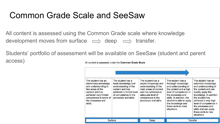### Common Grade Scale and SeeSaw

All content is assessed using the Common Grade scale where knowledge development moves from surface  $\implies$  deep  $\implies$  transfer.

Students' portfolio of assessment will be available on SeeSaw (student and parent access)All content is assessed under the Common Grade Scale

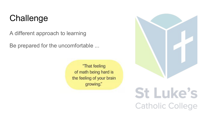### **Challenge**

A different approach to learning

Be prepared for the uncomfortable ...

"That feeling of math being hard is the feeling of your brain growing."



## **St Luke's Catholic College**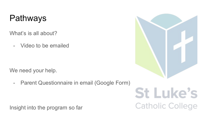### Pathways

What's is all about?

- Video to be emailed

We need your help.

- Parent Questionnaire in email (Google Form)

Insight into the program so far



## **St Luke's Catholic College**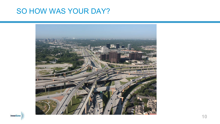### SO HOW WAS YOUR DAY?



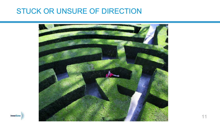### STUCK OR UNSURE OF DIRECTION



**InnerZone**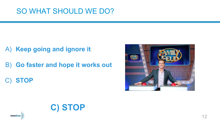### SO WHAT SHOULD WE DO?

- A) **Keep going and ignore it**
- B) **Go faster and hope it works out**

**C) STOP**

C) **STOP**